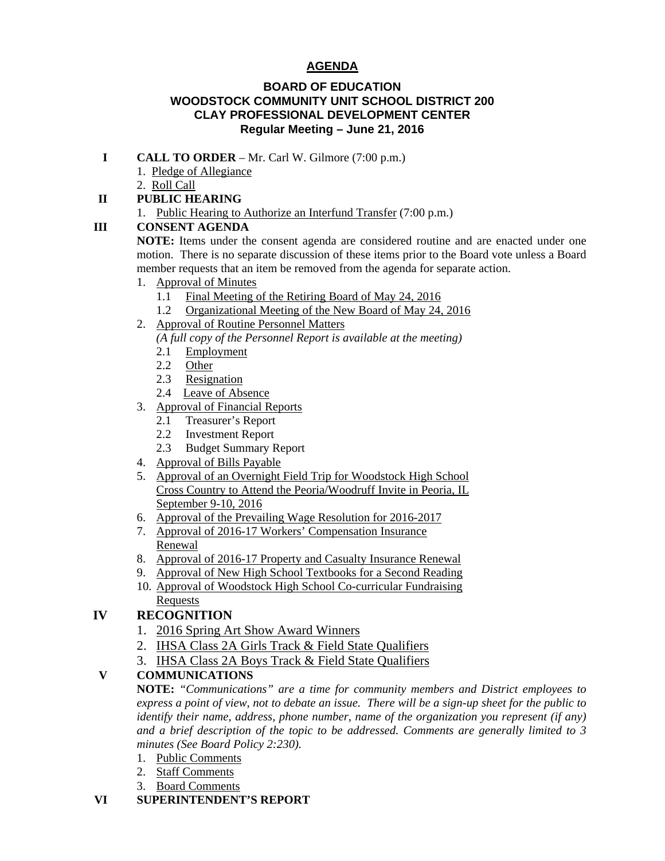# **AGENDA**

#### **BOARD OF EDUCATION WOODSTOCK COMMUNITY UNIT SCHOOL DISTRICT 200 CLAY PROFESSIONAL DEVELOPMENT CENTER Regular Meeting – June 21, 2016**

- **I CALL TO ORDER** Mr. Carl W. Gilmore (7:00 p.m.)
	- 1. Pledge of Allegiance
	- 2. Roll Call

### **II PUBLIC HEARING**

1. Public Hearing to Authorize an Interfund Transfer (7:00 p.m.)

## **III CONSENT AGENDA**

 **NOTE:** Items under the consent agenda are considered routine and are enacted under one motion. There is no separate discussion of these items prior to the Board vote unless a Board member requests that an item be removed from the agenda for separate action.

- 1. Approval of Minutes
	- 1.1 Final Meeting of the Retiring Board of May 24, 2016
	- 1.2 Organizational Meeting of the New Board of May 24, 2016
- 2. Approval of Routine Personnel Matters
	- *(A full copy of the Personnel Report is available at the meeting)*
	- 2.1 Employment
	- 2.2 Other
	- 2.3 Resignation
	- 2.4 Leave of Absence
- 3. Approval of Financial Reports
	- 2.1 Treasurer's Report
	- 2.2 Investment Report
	- 2.3 Budget Summary Report
- 4. Approval of Bills Payable
- 5. Approval of an Overnight Field Trip for Woodstock High School Cross Country to Attend the Peoria/Woodruff Invite in Peoria, IL September 9-10, 2016
- 6. Approval of the Prevailing Wage Resolution for 2016-2017
- 7. Approval of 2016-17 Workers' Compensation Insurance Renewal
- 8. Approval of 2016-17 Property and Casualty Insurance Renewal
- 9. Approval of New High School Textbooks for a Second Reading
- 10. Approval of Woodstock High School Co-curricular Fundraising **Requests**

# **IV RECOGNITION**

- 1. 2016 Spring Art Show Award Winners
- 2. IHSA Class 2A Girls Track & Field State Qualifiers
- 3. IHSA Class 2A Boys Track & Field State Qualifiers

## **V COMMUNICATIONS**

 **NOTE:** *"Communications" are a time for community members and District employees to express a point of view, not to debate an issue. There will be a sign-up sheet for the public to identify their name, address, phone number, name of the organization you represent (if any) and a brief description of the topic to be addressed. Comments are generally limited to 3 minutes (See Board Policy 2:230).* 

- 1. Public Comments
- 2. Staff Comments
- 3. Board Comments

#### **VI SUPERINTENDENT'S REPORT**